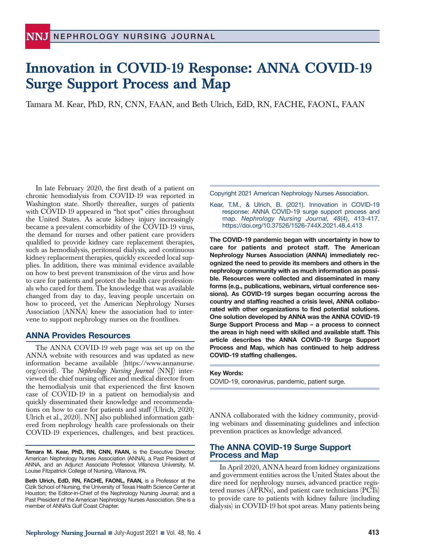## **Innovation in COVID-19 Response: ANNA COVID-19 Surge Support Process and Map**

Tamara M. Kear, PhD, RN, CNN, FAAN, and Beth Ulrich, EdD, RN, FACHE, FAONL, FAAN

In late February 2020, the first death of a patient on chronic hemodialysis from COVID-19 was reported in Washington state. Shortly thereafter, surges of patients with COVID-19 appeared in "hot spot" cities throughout the United States. As acute kidney injury increasingly became a prevalent comorbidity of the COVID-19 virus, the demand for nurses and other patient care providers qualified to provide kidney care replacement therapies, such as hemodialysis, peritoneal dialysis, and continuous kidney replacement therapies, quickly exceeded local supplies. In addition, there was minimal evidence available on how to best prevent transmission of the virus and how to care for patients and protect the health care professionals who cared for them. The knowledge that was available changed from day to day, leaving people uncertain on how to proceed, yet the American Nephrology Nurses Association (ANNA) knew the association had to intervene to support nephrology nurses on the frontlines.

## **ANNA Provides Resources**

The ANNA COVID-19 web page was set up on the ANNA website with resources and was updated as new information became available (https://www.annanurse. org/covid). The *Nephrology Nursing Journal* (NNJ) interviewed the chief nursing officer and medical director from the hemodialysis unit that experienced the first known case of COVID-19 in a patient on hemodialysis and quickly disseminated their knowledge and recommendations on how to care for patients and staff (Ulrich, 2020; Ulrich et al., 2020). NNJ also published information gathered from nephrology health care professionals on their COVID-19 experiences, challenges, and best practices.

**Tamara M. Kear, PhD, RN, CNN, FAAN,** is the Executive Director, American Nephrology Nurses Association (ANNA), a Past President of ANNA, and an Adjunct Associate Professor, Villanova University, M. Louise Fitzpatrick College of Nursing, Villanova, PA.

**Beth Ulrich, EdD, RN, FACHE, FAONL, FAAN,** is a Professor at the Cizik School of Nursing, the University of Texas Health Science Center at Houston; the Editor-in-Chief of the Nephrology Nursing Journal; and a Past President of the American Nephrology Nurses Association. She is a member of ANNA's Gulf Coast Chapter.

Copyright 2021 American Nephrology Nurses Association.

Kear, T.M., & Ulrich, B. (2021). Innovation in COVID-19 response: ANNA COVID-19 surge support process and map. *Nephrology Nursing Journal, 48*(4), 413-417. https://doi.org/10.37526/1526-744X.2021.48.4.413

**The COVID-19 pandemic began with uncertainty in how to care for patients and protect staff. The American Nephrology Nurses Association (ANNA) immediately recognized the need to provide its members and others in the nephrology community with as much information as possible. Resources were collected and disseminated in many forms (e.g., publications, webinars, virtual conference sessions). As COVID-19 surges began occurring across the country and staffing reached a crisis level, ANNA collaborated with other organizations to find potential solutions. One solution developed by ANNA was the ANNA COVID-19 Surge Support Process and Map – a process to connect the areas in high need with skilled and available staff. This article describes the ANNA COVID-19 Surge Support Process and Map, which has continued to help address COVID-19 staffing challenges.**

#### **Key Words:**

COVID-19, coronavirus, pandemic, patient surge.

ANNA collaborated with the kidney community, providing webinars and disseminating guidelines and infection prevention practices as knowledge advanced.

### **The ANNA COVID-19 Surge Support Process and Map**

In April 2020, ANNA heard from kidney organizations and government entities across the United States about the dire need for nephrology nurses, advanced practice registered nurses (APRNs), and patient care technicians (PCTs) to provide care to patients with kidney failure (including dialysis) in COVID-19 hot spot areas. Many patients being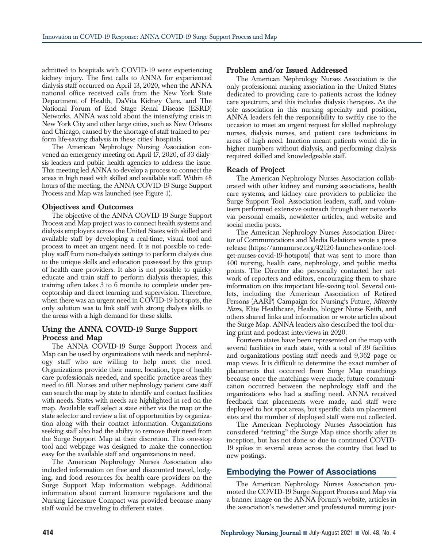admitted to hospitals with COVID-19 were experiencing kidney injury. The first calls to ANNA for experienced dialysis staff occurred on April 13, 2020, when the ANNA national office received calls from the New York State Department of Health, DaVita Kidney Care, and The National Forum of End Stage Renal Disease (ESRD) Networks. ANNA was told about the intensifying crisis in New York City and other large cities, such as New Orleans and Chicago, caused by the shortage of staff trained to perform life-saving dialysis in these cities' hospitals.

The American Nephrology Nursing Association convened an emergency meeting on April 17, 2020, of 33 dialysis leaders and public health agencies to address the issue. This meeting led ANNA to develop a process to connect the areas in high need with skilled and available staff. Within 48 hours of the meeting, the ANNA COVID-19 Surge Support Process and Map was launched (see Figure 1).

### **Objectives and Outcomes**

The objective of the ANNA COVID-19 Surge Support Process and Map project was to connect health systems and dialysis employers across the United States with skilled and available staff by developing a real-time, visual tool and process to meet an urgent need. It is not possible to redeploy staff from non-dialysis settings to perform dialysis due to the unique skills and education possessed by this group of health care providers. It also is not possible to quicky educate and train staff to perform dialysis therapies; this training often takes 3 to 6 months to complete under preceptorship and direct learning and supervision. Therefore, when there was an urgent need in COVID-19 hot spots, the only solution was to link staff with strong dialysis skills to the areas with a high demand for these skills.

## **Using the ANNA COVID-19 Surge Support Process and Map**

The ANNA COVID-19 Surge Support Process and Map can be used by organizations with needs and nephrology staff who are willing to help meet the need. Organizations provide their name, location, type of health care professionals needed, and specific practice areas they need to fill. Nurses and other nephrology patient care staff can search the map by state to identify and contact facilities with needs. States with needs are highlighted in red on the map. Available staff select a state either via the map or the state selector and review a list of opportunities by organization along with their contact information. Organizations seeking staff also had the ability to remove their need from the Surge Support Map at their discretion. This one-stop tool and webpage was designed to make the connection easy for the available staff and organizations in need.

The American Nephrology Nurses Association also included information on free and discounted travel, lodging, and food resources for health care providers on the Surge Support Map information webpage. Additional information about current licensure regulations and the Nursing Licensure Compact was provided because many staff would be traveling to different states.

## **Problem and/or Issued Addressed**

The American Nephrology Nurses Association is the only professional nursing association in the United States dedicated to providing care to patients across the kidney care spectrum, and this includes dialysis therapies. As the sole association in this nursing specialty and position, ANNA leaders felt the responsibility to swiftly rise to the occasion to meet an urgent request for skilled nephrology nurses, dialysis nurses, and patient care technicians in areas of high need. Inaction meant patients would die in higher numbers without dialysis, and performing dialysis required skilled and knowledgeable staff.

### **Reach of Project**

The American Nephrology Nurses Association collaborated with other kidney and nursing associations, health care systems, and kidney care providers to publicize the Surge Support Tool. Association leaders, staff, and volunteers performed extensive outreach through their networks via personal emails, newsletter articles, and website and social media posts.

The American Nephrology Nurses Association Director of Communications and Media Relations wrote a press release (https://annanurse.org/42120-launches-online-toolget-nurses-covid-19-hotspots) that was sent to more than 400 nursing, health care, nephrology, and public media points. The Director also personally contacted her network of reporters and editors, encouraging them to share information on this important life-saving tool. Several outlets, including the American Association of Retired Persons (AARP) Campaign for Nursing's Future, *Minority Nurse*, Elite Healthcare, Healio, blogger Nurse Keith, and others shared links and information or wrote articles about the Surge Map. ANNA leaders also described the tool during print and podcast interviews in 2020.

Fourteen states have been represented on the map with several facilities in each state, with a total of 39 facilities and organizations posting staff needs and 9,362 page or map views. It is difficult to determine the exact number of placements that occurred from Surge Map matchings because once the matchings were made, future communication occurred between the nephrology staff and the organizations who had a staffing need. ANNA received feedback that placements were made, and staff were deployed to hot spot areas, but specific data on placement sites and the number of deployed staff were not collected.

The American Nephrology Nurses Association has considered "retiring" the Surge Map since shortly after its inception, but has not done so due to continued COVID-19 spikes in several areas across the country that lead to new postings.

## **Embodying the Power of Associations**

The American Nephrology Nurses Association promoted the COVID-19 Surge Support Process and Map via a banner image on the ANNA Forum's website, articles in the association's newsletter and professional nursing jour-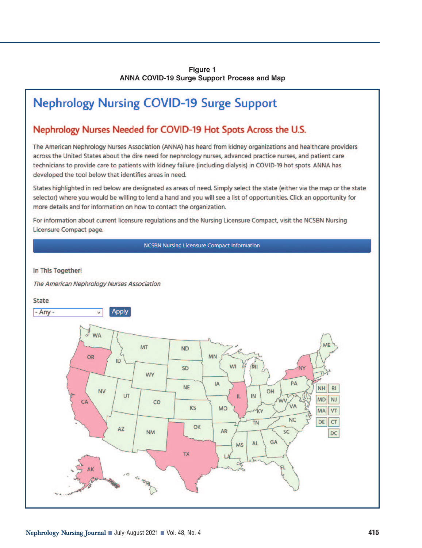## **Figure 1 ANNA COVID-19 Surge Support Process and Map**

# **Nephrology Nursing COVID-19 Surge Support**

## Nephrology Nurses Needed for COVID-19 Hot Spots Across the U.S.

The American Nephrology Nurses Association (ANNA) has heard from kidney organizations and healthcare providers across the United States about the dire need for nephrology nurses, advanced practice nurses, and patient care technicians to provide care to patients with kidney failure (including dialysis) in COVID-19 hot spots. ANNA has developed the tool below that identifies areas in need.

States highlighted in red below are designated as areas of need. Simply select the state (either via the map or the state selector) where you would be willing to lend a hand and you will see a list of opportunities. Click an opportunity for more details and for information on how to contact the organization.

For information about current licensure regulations and the Nursing Licensure Compact, visit the NCSBN Nursing Licensure Compact page.

**NCSBN Nursing Licensure Compact Information** 

## In This Together!

The American Nephrology Nurses Association

**State** 

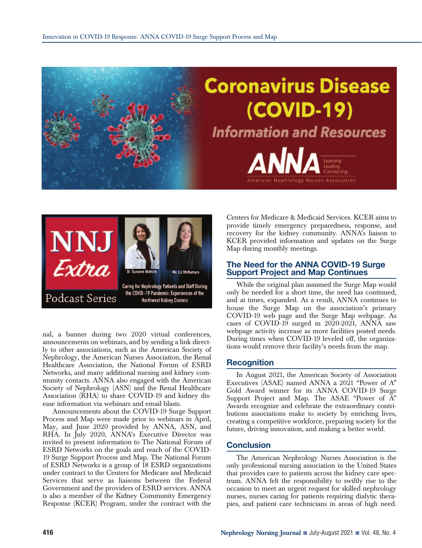



nal, a banner during two 2020 virtual conferences, announcements on webinars, and by sending a link directly to other associations, such as the American Society of Nephrology, the American Nurses Association, the Renal Healthcare Association, the National Forum of ESRD Networks, and many additional nursing and kidney community contacts. ANNA also engaged with the American Society of Nephrology (ASN) and the Renal Healthcare Association (RHA) to share COVID-19 and kidney disease information via webinars and email blasts.

Announcements about the COVID-19 Surge Support Process and Map were made prior to webinars in April, May, and June 2020 provided by ANNA, ASN, and RHA. In July 2020, ANNA's Executive Director was invited to present information to The National Forum of ESRD Networks on the goals and reach of the COVID-19 Surge Support Process and Map. The National Forum of ESRD Networks is a group of 18 ESRD organizations under contract to the Centers for Medicare and Medicaid Services that serve as liaisons between the Federal Government and the providers of ESRD services. ANNA is also a member of the Kidney Community Emergency Response (KCER) Program, under the contract with the Centers for Medicare & Medicaid Services. KCER aims to provide timely emergency preparedness, response, and recovery for the kidney community. ANNA's liaison to KCER provided information and updates on the Surge Map during monthly meetings.

## **The Need for the ANNA COVID-19 Surge Support Project and Map Continues**

While the original plan assumed the Surge Map would only be needed for a short time, the need has continued, and at times, expanded. As a result, ANNA continues to house the Surge Map on the association's primary COVID-19 web page and the Surge Map webpage. As cases of COVID-19 surged in 2020-2021, ANNA saw webpage activity increase as more facilities posted needs. During times when COVID-19 leveled off, the organizations would remove their facility's needs from the map.

## **Recognition**

In August 2021, the American Society of Association Executives (ASAE) named ANNA a 2021 "Power of A" Gold Award winner for its ANNA COVID-19 Surge Support Project and Map. The ASAE "Power of A" Awards recognize and celebrate the extraordinary contributions associations make to society by enriching lives, creating a competitive workforce, preparing society for the future, driving innovation, and making a better world.

## **Conclusion**

The American Nephrology Nurses Association is the only professional nursing association in the United States that provides care to patients across the kidney care spectrum. ANNA felt the responsibility to swiftly rise to the occasion to meet an urgent request for skilled nephrology nurses, nurses caring for patients requiring dialytic therapies, and patient care technicians in areas of high need.